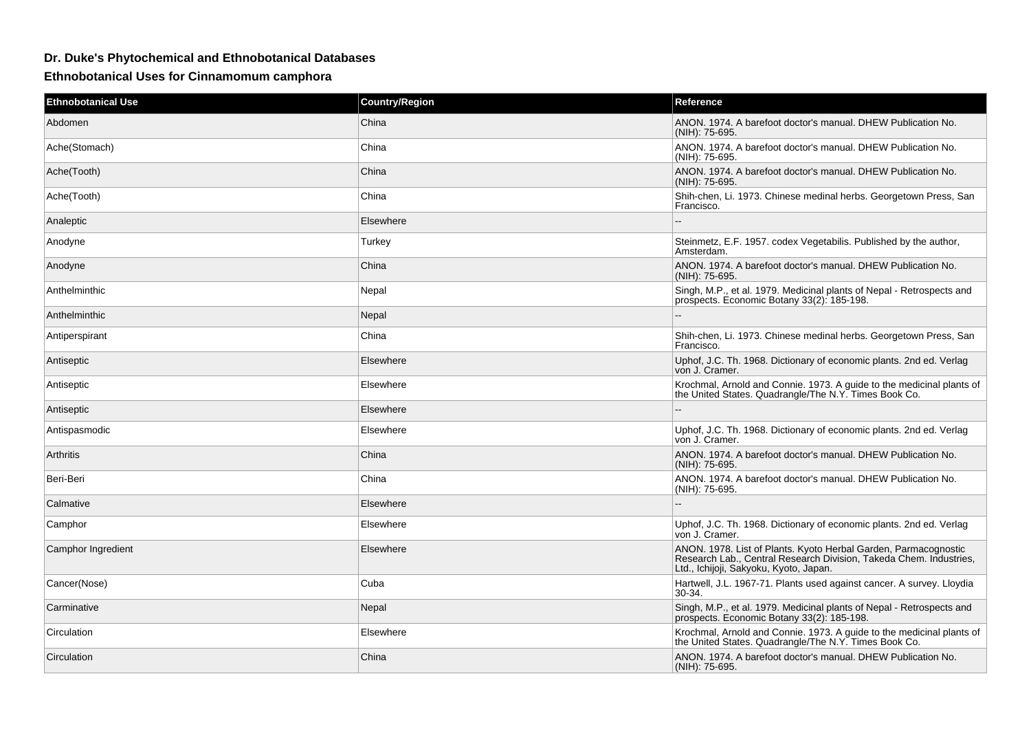## **Dr. Duke's Phytochemical and Ethnobotanical Databases**

**Ethnobotanical Uses for Cinnamomum camphora**

| <b>Ethnobotanical Use</b> | <b>Country/Region</b> | Reference                                                                                                                                                                       |
|---------------------------|-----------------------|---------------------------------------------------------------------------------------------------------------------------------------------------------------------------------|
| Abdomen                   | China                 | ANON. 1974. A barefoot doctor's manual. DHEW Publication No.<br>(NIH): 75-695.                                                                                                  |
| Ache(Stomach)             | China                 | ANON. 1974. A barefoot doctor's manual. DHEW Publication No.<br>(NIH): 75-695.                                                                                                  |
| Ache(Tooth)               | China                 | ANON. 1974. A barefoot doctor's manual. DHEW Publication No.<br>(NIH): 75-695.                                                                                                  |
| Ache(Tooth)               | China                 | Shih-chen, Li. 1973. Chinese medinal herbs. Georgetown Press, San<br>Francisco.                                                                                                 |
| Analeptic                 | Elsewhere             | $\sim$                                                                                                                                                                          |
| Anodyne                   | Turkey                | Steinmetz, E.F. 1957. codex Vegetabilis. Published by the author,<br>Amsterdam.                                                                                                 |
| Anodyne                   | China                 | ANON, 1974. A barefoot doctor's manual. DHEW Publication No.<br>(NIH): 75-695.                                                                                                  |
| Anthelminthic             | Nepal                 | Singh, M.P., et al. 1979. Medicinal plants of Nepal - Retrospects and<br>prospects. Economic Botany 33(2): 185-198.                                                             |
| Anthelminthic             | Nepal                 | $\sim$                                                                                                                                                                          |
| Antiperspirant            | China                 | Shih-chen, Li. 1973. Chinese medinal herbs. Georgetown Press, San<br>Francisco.                                                                                                 |
| Antiseptic                | Elsewhere             | Uphof, J.C. Th. 1968. Dictionary of economic plants. 2nd ed. Verlag<br>von J. Cramer.                                                                                           |
| Antiseptic                | Elsewhere             | Krochmal, Arnold and Connie. 1973. A guide to the medicinal plants of<br>the United States. Quadrangle/The N.Y. Times Book Co.                                                  |
| Antiseptic                | Elsewhere             |                                                                                                                                                                                 |
| Antispasmodic             | Elsewhere             | Uphof, J.C. Th. 1968. Dictionary of economic plants. 2nd ed. Verlag<br>von J. Cramer.                                                                                           |
| Arthritis                 | China                 | ANON. 1974. A barefoot doctor's manual. DHEW Publication No.<br>(NIH): 75-695.                                                                                                  |
| Beri-Beri                 | China                 | ANON. 1974. A barefoot doctor's manual. DHEW Publication No.<br>(NIH): 75-695.                                                                                                  |
| Calmative                 | Elsewhere             |                                                                                                                                                                                 |
| Camphor                   | Elsewhere             | Uphof, J.C. Th. 1968. Dictionary of economic plants. 2nd ed. Verlag<br>von J. Cramer.                                                                                           |
| Camphor Ingredient        | Elsewhere             | ANON. 1978. List of Plants. Kyoto Herbal Garden, Parmacognostic<br>Research Lab., Central Research Division, Takeda Chem. Industries,<br>Ltd., Ichijoji, Sakyoku, Kyoto, Japan. |
| Cancer(Nose)              | Cuba                  | Hartwell, J.L. 1967-71. Plants used against cancer. A survey. Lloydia<br>30-34.                                                                                                 |
| Carminative               | Nepal                 | Singh, M.P., et al. 1979. Medicinal plants of Nepal - Retrospects and<br>prospects. Economic Botany 33(2): 185-198.                                                             |
| Circulation               | Elsewhere             | Krochmal, Arnold and Connie. 1973. A guide to the medicinal plants of<br>the United States. Quadrangle/The N.Y. Times Book Co.                                                  |
| Circulation               | China                 | ANON. 1974. A barefoot doctor's manual. DHEW Publication No.<br>(NIH): 75-695.                                                                                                  |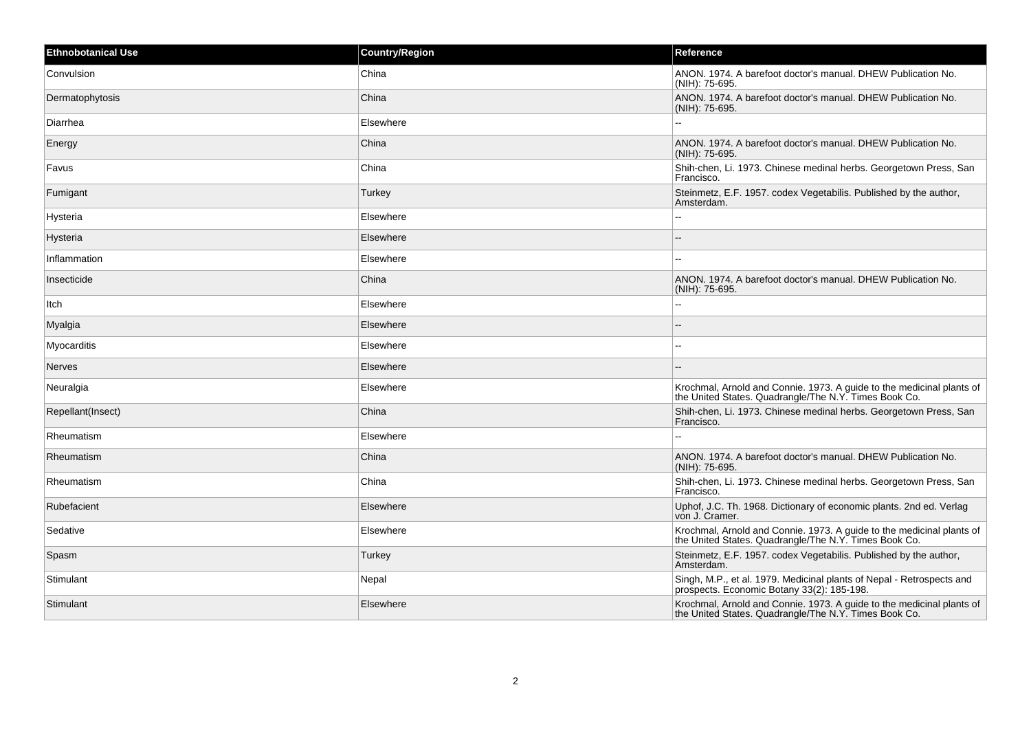| <b>Ethnobotanical Use</b> | <b>Country/Region</b> | Reference                                                                                                                      |
|---------------------------|-----------------------|--------------------------------------------------------------------------------------------------------------------------------|
| Convulsion                | China                 | ANON, 1974. A barefoot doctor's manual. DHEW Publication No.<br>(NIH): 75-695.                                                 |
| Dermatophytosis           | China                 | ANON. 1974. A barefoot doctor's manual. DHEW Publication No.<br>(NIH): 75-695.                                                 |
| Diarrhea                  | Elsewhere             | $\sim$                                                                                                                         |
| Energy                    | China                 | ANON. 1974. A barefoot doctor's manual. DHEW Publication No.<br>(NIH): 75-695.                                                 |
| Favus                     | China                 | Shih-chen, Li. 1973. Chinese medinal herbs. Georgetown Press, San<br>Francisco.                                                |
| Fumigant                  | Turkey                | Steinmetz, E.F. 1957. codex Vegetabilis. Published by the author,<br>Amsterdam.                                                |
| Hysteria                  | Elsewhere             |                                                                                                                                |
| Hysteria                  | Elsewhere             |                                                                                                                                |
| Inflammation              | Elsewhere             | --                                                                                                                             |
| Insecticide               | China                 | ANON, 1974. A barefoot doctor's manual. DHEW Publication No.<br>(NIH): 75-695.                                                 |
| Itch                      | Elsewhere             | --                                                                                                                             |
| Myalgia                   | Elsewhere             |                                                                                                                                |
| Myocarditis               | Elsewhere             |                                                                                                                                |
| <b>Nerves</b>             | Elsewhere             |                                                                                                                                |
| Neuralgia                 | Elsewhere             | Krochmal, Arnold and Connie. 1973. A guide to the medicinal plants of the United States. Quadrangle/The N.Y. Times Book Co.    |
| Repellant(Insect)         | China                 | Shih-chen, Li. 1973. Chinese medinal herbs. Georgetown Press, San<br>Francisco.                                                |
| Rheumatism                | Elsewhere             |                                                                                                                                |
| Rheumatism                | China                 | ANON, 1974. A barefoot doctor's manual. DHEW Publication No.<br>(NIH): 75-695.                                                 |
| Rheumatism                | China                 | Shih-chen, Li. 1973. Chinese medinal herbs. Georgetown Press, San<br>Francisco.                                                |
| Rubefacient               | Elsewhere             | Uphof, J.C. Th. 1968. Dictionary of economic plants. 2nd ed. Verlag<br>von J. Cramer.                                          |
| Sedative                  | Elsewhere             | Krochmal, Arnold and Connie. 1973. A guide to the medicinal plants of<br>the United States. Quadrangle/The N.Y. Times Book Co. |
| Spasm                     | Turkey                | Steinmetz, E.F. 1957. codex Vegetabilis. Published by the author,<br>Amsterdam.                                                |
| Stimulant                 | Nepal                 | Singh, M.P., et al. 1979. Medicinal plants of Nepal - Retrospects and prospects. Economic Botany 33(2): 185-198.               |
| Stimulant                 | Elsewhere             | Krochmal, Arnold and Connie. 1973. A guide to the medicinal plants of<br>the United States. Quadrangle/The N.Y. Times Book Co. |